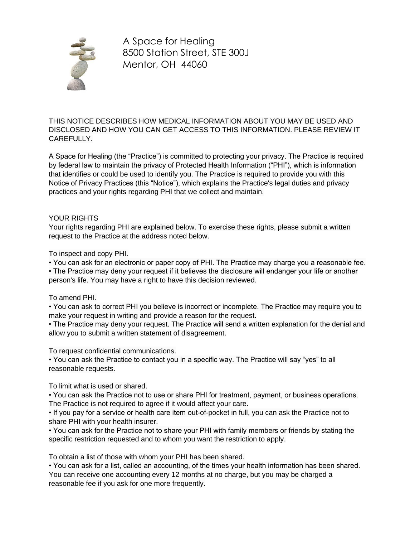

THIS NOTICE DESCRIBES HOW MEDICAL INFORMATION ABOUT YOU MAY BE USED AND DISCLOSED AND HOW YOU CAN GET ACCESS TO THIS INFORMATION. PLEASE REVIEW IT CAREFULLY.

A Space for Healing (the "Practice") is committed to protecting your privacy. The Practice is required by federal law to maintain the privacy of Protected Health Information ("PHI"), which is information that identifies or could be used to identify you. The Practice is required to provide you with this Notice of Privacy Practices (this "Notice"), which explains the Practice's legal duties and privacy practices and your rights regarding PHI that we collect and maintain.

## YOUR RIGHTS

Your rights regarding PHI are explained below. To exercise these rights, please submit a written request to the Practice at the address noted below.

To inspect and copy PHI.

• You can ask for an electronic or paper copy of PHI. The Practice may charge you a reasonable fee.

• The Practice may deny your request if it believes the disclosure will endanger your life or another person's life. You may have a right to have this decision reviewed.

## To amend PHI.

• You can ask to correct PHI you believe is incorrect or incomplete. The Practice may require you to make your request in writing and provide a reason for the request.

• The Practice may deny your request. The Practice will send a written explanation for the denial and allow you to submit a written statement of disagreement.

To request confidential communications.

• You can ask the Practice to contact you in a specific way. The Practice will say "yes" to all reasonable requests.

To limit what is used or shared.

• You can ask the Practice not to use or share PHI for treatment, payment, or business operations. The Practice is not required to agree if it would affect your care.

• If you pay for a service or health care item out-of-pocket in full, you can ask the Practice not to share PHI with your health insurer.

• You can ask for the Practice not to share your PHI with family members or friends by stating the specific restriction requested and to whom you want the restriction to apply.

To obtain a list of those with whom your PHI has been shared.

• You can ask for a list, called an accounting, of the times your health information has been shared. You can receive one accounting every 12 months at no charge, but you may be charged a reasonable fee if you ask for one more frequently.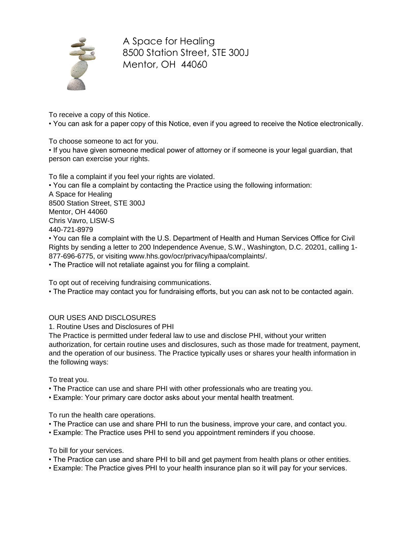

To receive a copy of this Notice.

• You can ask for a paper copy of this Notice, even if you agreed to receive the Notice electronically.

To choose someone to act for you.

• If you have given someone medical power of attorney or if someone is your legal guardian, that person can exercise your rights.

To file a complaint if you feel your rights are violated. • You can file a complaint by contacting the Practice using the following information: A Space for Healing 8500 Station Street, STE 300J Mentor, OH 44060 Chris Vavro, LISW-S 440-721-8979 • You can file a complaint with the U.S. Department of Health and Human Services Office for Civil

Rights by sending a letter to 200 Independence Avenue, S.W., Washington, D.C. 20201, calling 1- 877-696-6775, or visiting www.hhs.gov/ocr/privacy/hipaa/complaints/.

• The Practice will not retaliate against you for filing a complaint.

To opt out of receiving fundraising communications.

• The Practice may contact you for fundraising efforts, but you can ask not to be contacted again.

## OUR USES AND DISCLOSURES

1. Routine Uses and Disclosures of PHI

The Practice is permitted under federal law to use and disclose PHI, without your written authorization, for certain routine uses and disclosures, such as those made for treatment, payment, and the operation of our business. The Practice typically uses or shares your health information in the following ways:

To treat you.

- The Practice can use and share PHI with other professionals who are treating you.
- Example: Your primary care doctor asks about your mental health treatment.

To run the health care operations.

- The Practice can use and share PHI to run the business, improve your care, and contact you.
- Example: The Practice uses PHI to send you appointment reminders if you choose.

To bill for your services.

- The Practice can use and share PHI to bill and get payment from health plans or other entities.
- Example: The Practice gives PHI to your health insurance plan so it will pay for your services.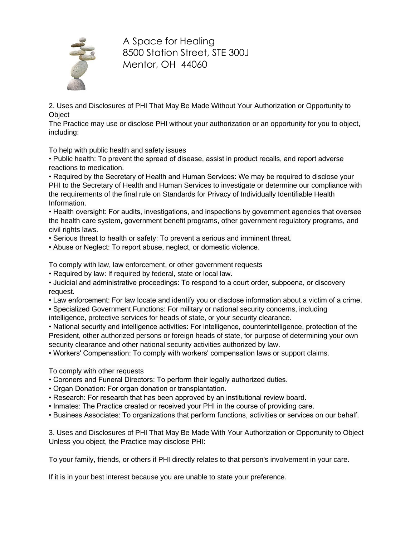

2. Uses and Disclosures of PHI That May Be Made Without Your Authorization or Opportunity to **Object** 

The Practice may use or disclose PHI without your authorization or an opportunity for you to object, including:

To help with public health and safety issues

• Public health: To prevent the spread of disease, assist in product recalls, and report adverse reactions to medication.

• Required by the Secretary of Health and Human Services: We may be required to disclose your PHI to the Secretary of Health and Human Services to investigate or determine our compliance with the requirements of the final rule on Standards for Privacy of Individually Identifiable Health Information.

• Health oversight: For audits, investigations, and inspections by government agencies that oversee the health care system, government benefit programs, other government regulatory programs, and civil rights laws.

- Serious threat to health or safety: To prevent a serious and imminent threat.
- Abuse or Neglect: To report abuse, neglect, or domestic violence.

To comply with law, law enforcement, or other government requests

• Required by law: If required by federal, state or local law.

• Judicial and administrative proceedings: To respond to a court order, subpoena, or discovery request.

• Law enforcement: For law locate and identify you or disclose information about a victim of a crime.

• Specialized Government Functions: For military or national security concerns, including

intelligence, protective services for heads of state, or your security clearance.

• National security and intelligence activities: For intelligence, counterintelligence, protection of the President, other authorized persons or foreign heads of state, for purpose of determining your own security clearance and other national security activities authorized by law.

• Workers' Compensation: To comply with workers' compensation laws or support claims.

To comply with other requests

- Coroners and Funeral Directors: To perform their legally authorized duties.
- Organ Donation: For organ donation or transplantation.
- Research: For research that has been approved by an institutional review board.
- Inmates: The Practice created or received your PHI in the course of providing care.
- Business Associates: To organizations that perform functions, activities or services on our behalf.

3. Uses and Disclosures of PHI That May Be Made With Your Authorization or Opportunity to Object Unless you object, the Practice may disclose PHI:

To your family, friends, or others if PHI directly relates to that person's involvement in your care.

If it is in your best interest because you are unable to state your preference.